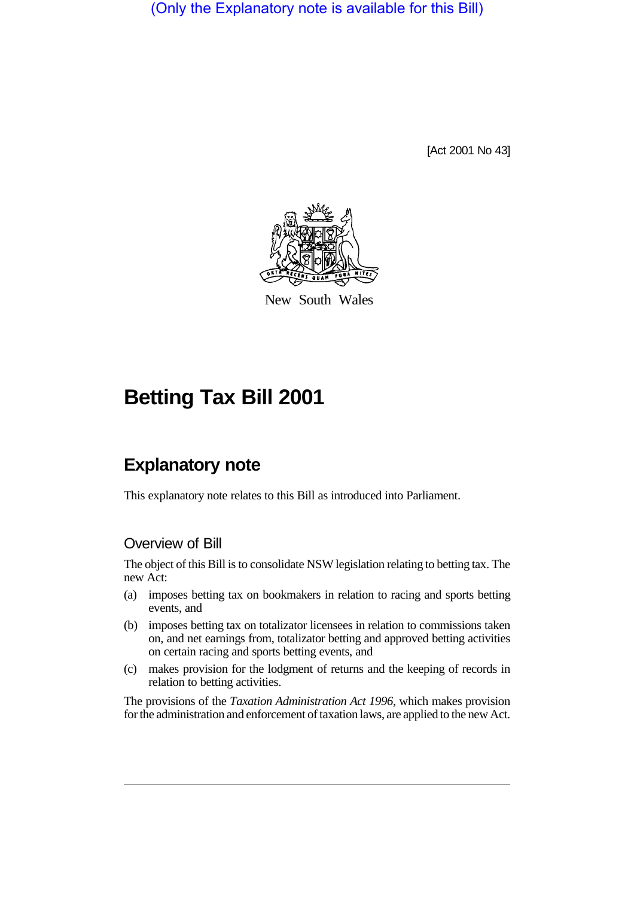(Only the Explanatory note is available for this Bill)

[Act 2001 No 43]



New South Wales

# **Betting Tax Bill 2001**

# **Explanatory note**

This explanatory note relates to this Bill as introduced into Parliament.

#### Overview of Bill

The object of this Bill is to consolidate NSW legislation relating to betting tax. The new Act:

- (a) imposes betting tax on bookmakers in relation to racing and sports betting events, and
- (b) imposes betting tax on totalizator licensees in relation to commissions taken on, and net earnings from, totalizator betting and approved betting activities on certain racing and sports betting events, and
- (c) makes provision for the lodgment of returns and the keeping of records in relation to betting activities.

The provisions of the *Taxation Administration Act 1996*, which makes provision for the administration and enforcement of taxation laws, are applied to the new Act.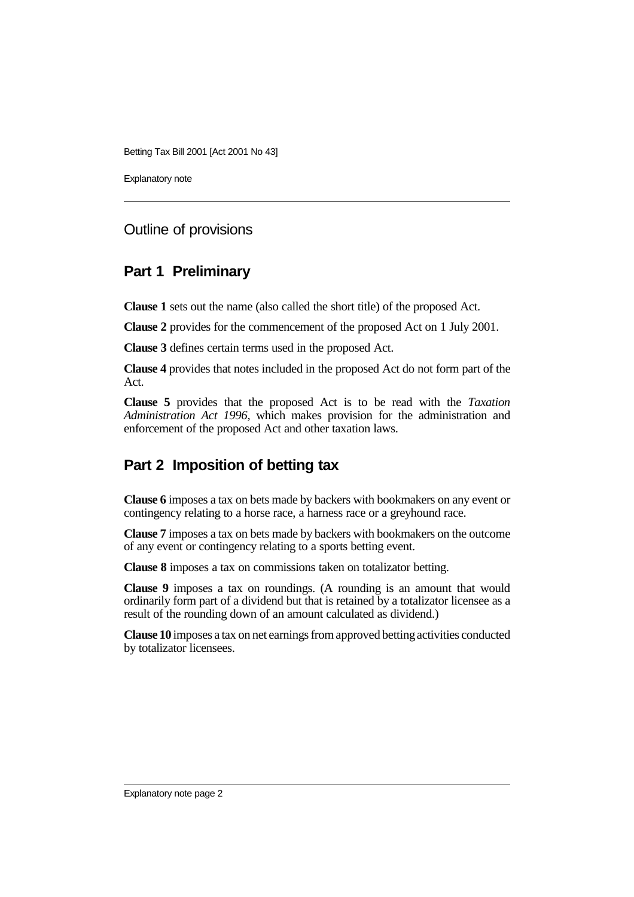Explanatory note

#### Outline of provisions

#### **Part 1 Preliminary**

**Clause 1** sets out the name (also called the short title) of the proposed Act.

**Clause 2** provides for the commencement of the proposed Act on 1 July 2001.

**Clause 3** defines certain terms used in the proposed Act.

**Clause 4** provides that notes included in the proposed Act do not form part of the Act.

**Clause 5** provides that the proposed Act is to be read with the *Taxation Administration Act 1996*, which makes provision for the administration and enforcement of the proposed Act and other taxation laws.

## **Part 2 Imposition of betting tax**

**Clause 6** imposes a tax on bets made by backers with bookmakers on any event or contingency relating to a horse race, a harness race or a greyhound race.

**Clause 7** imposes a tax on bets made by backers with bookmakers on the outcome of any event or contingency relating to a sports betting event.

**Clause 8** imposes a tax on commissions taken on totalizator betting.

**Clause 9** imposes a tax on roundings. (A rounding is an amount that would ordinarily form part of a dividend but that is retained by a totalizator licensee as a result of the rounding down of an amount calculated as dividend.)

**Clause 10** imposes a tax on net earnings from approved betting activities conducted by totalizator licensees.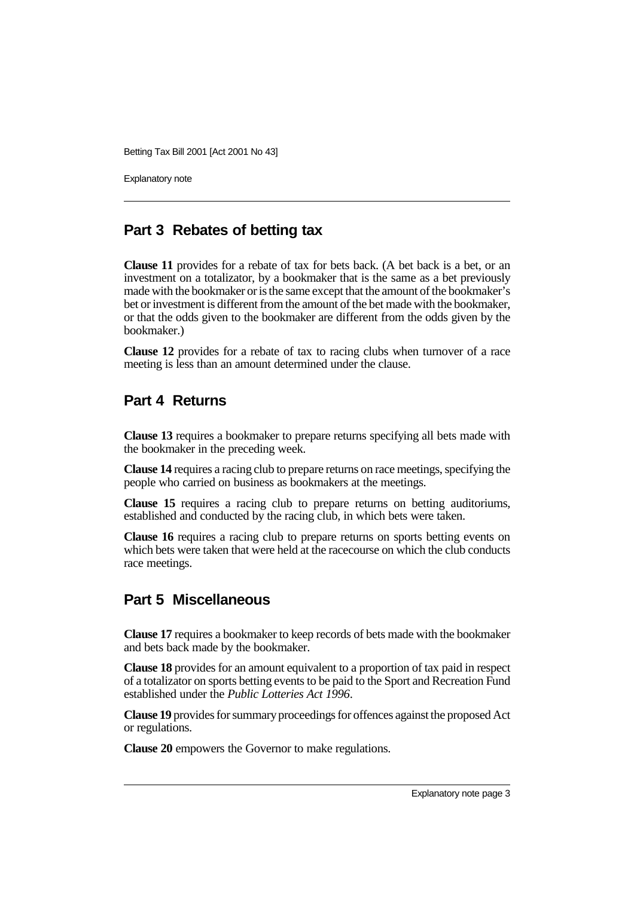Explanatory note

#### **Part 3 Rebates of betting tax**

**Clause 11** provides for a rebate of tax for bets back. (A bet back is a bet, or an investment on a totalizator, by a bookmaker that is the same as a bet previously made with the bookmaker or is the same except that the amount of the bookmaker's bet or investment is different from the amount of the bet made with the bookmaker, or that the odds given to the bookmaker are different from the odds given by the bookmaker.)

**Clause 12** provides for a rebate of tax to racing clubs when turnover of a race meeting is less than an amount determined under the clause.

#### **Part 4 Returns**

**Clause 13** requires a bookmaker to prepare returns specifying all bets made with the bookmaker in the preceding week.

**Clause 14** requires a racing club to prepare returns on race meetings, specifying the people who carried on business as bookmakers at the meetings.

**Clause 15** requires a racing club to prepare returns on betting auditoriums, established and conducted by the racing club, in which bets were taken.

**Clause 16** requires a racing club to prepare returns on sports betting events on which bets were taken that were held at the racecourse on which the club conducts race meetings.

## **Part 5 Miscellaneous**

**Clause 17** requires a bookmaker to keep records of bets made with the bookmaker and bets back made by the bookmaker.

**Clause 18** provides for an amount equivalent to a proportion of tax paid in respect of a totalizator on sports betting events to be paid to the Sport and Recreation Fund established under the *Public Lotteries Act 1996*.

**Clause 19** provides for summary proceedings for offences against the proposed Act or regulations.

**Clause 20** empowers the Governor to make regulations.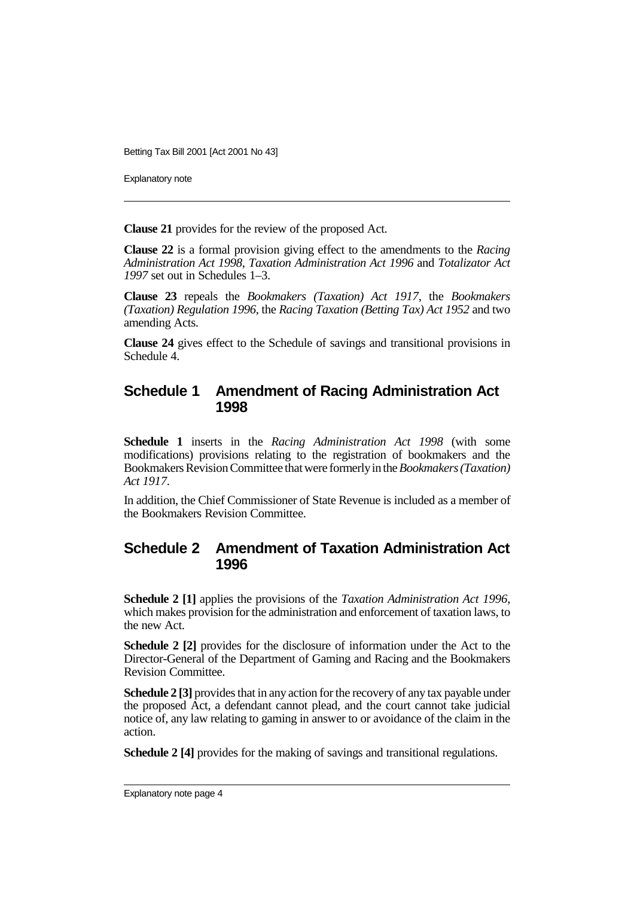Explanatory note

**Clause 21** provides for the review of the proposed Act.

**Clause 22** is a formal provision giving effect to the amendments to the *Racing Administration Act 1998*, *Taxation Administration Act 1996* and *Totalizator Act 1997* set out in Schedules 1–3.

**Clause 23** repeals the *Bookmakers (Taxation) Act 1917*, the *Bookmakers (Taxation) Regulation 1996*, the *Racing Taxation (Betting Tax) Act 1952* and two amending Acts.

**Clause 24** gives effect to the Schedule of savings and transitional provisions in Schedule 4.

#### **Schedule 1 Amendment of Racing Administration Act 1998**

**Schedule 1** inserts in the *Racing Administration Act 1998* (with some modifications) provisions relating to the registration of bookmakers and the Bookmakers Revision Committee that were formerly in the *Bookmakers (Taxation) Act 1917*.

In addition, the Chief Commissioner of State Revenue is included as a member of the Bookmakers Revision Committee.

#### **Schedule 2 Amendment of Taxation Administration Act 1996**

**Schedule 2 [1]** applies the provisions of the *Taxation Administration Act 1996*, which makes provision for the administration and enforcement of taxation laws, to the new Act.

**Schedule 2 [2]** provides for the disclosure of information under the Act to the Director-General of the Department of Gaming and Racing and the Bookmakers Revision Committee.

**Schedule 2 [3]** provides that in any action for the recovery of any tax payable under the proposed Act, a defendant cannot plead, and the court cannot take judicial notice of, any law relating to gaming in answer to or avoidance of the claim in the action.

**Schedule 2 [4]** provides for the making of savings and transitional regulations.